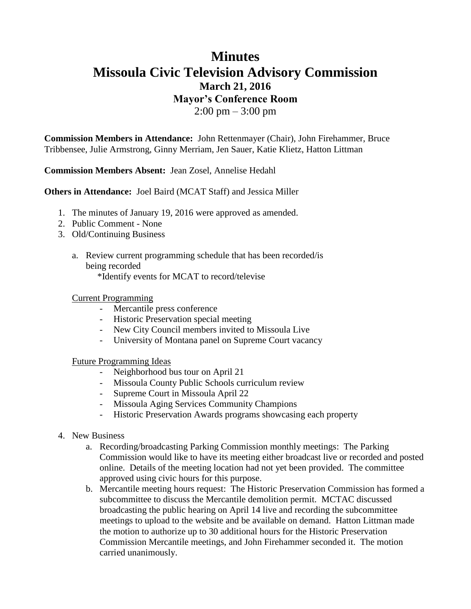## **Minutes Missoula Civic Television Advisory Commission March 21, 2016 Mayor's Conference Room**  $2:00 \text{ pm} - 3:00 \text{ pm}$

**Commission Members in Attendance:** John Rettenmayer (Chair), John Firehammer, Bruce Tribbensee, Julie Armstrong, Ginny Merriam, Jen Sauer, Katie Klietz, Hatton Littman

**Commission Members Absent:** Jean Zosel, Annelise Hedahl

**Others in Attendance:** Joel Baird (MCAT Staff) and Jessica Miller

- 1. The minutes of January 19, 2016 were approved as amended.
- 2. Public Comment None
- 3. Old/Continuing Business
	- a. Review current programming schedule that has been recorded/is being recorded

\*Identify events for MCAT to record/televise

## Current Programming

- Mercantile press conference
- Historic Preservation special meeting
- New City Council members invited to Missoula Live
- University of Montana panel on Supreme Court vacancy

## Future Programming Ideas

- Neighborhood bus tour on April 21
- Missoula County Public Schools curriculum review
- Supreme Court in Missoula April 22
- Missoula Aging Services Community Champions
- Historic Preservation Awards programs showcasing each property
- 4. New Business
	- a. Recording/broadcasting Parking Commission monthly meetings: The Parking Commission would like to have its meeting either broadcast live or recorded and posted online. Details of the meeting location had not yet been provided. The committee approved using civic hours for this purpose.
	- b. Mercantile meeting hours request: The Historic Preservation Commission has formed a subcommittee to discuss the Mercantile demolition permit. MCTAC discussed broadcasting the public hearing on April 14 live and recording the subcommittee meetings to upload to the website and be available on demand. Hatton Littman made the motion to authorize up to 30 additional hours for the Historic Preservation Commission Mercantile meetings, and John Firehammer seconded it. The motion carried unanimously.